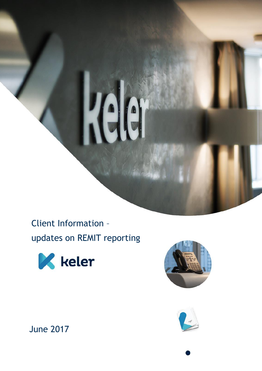

## Client Information –

updates on REMIT reporting







June 2017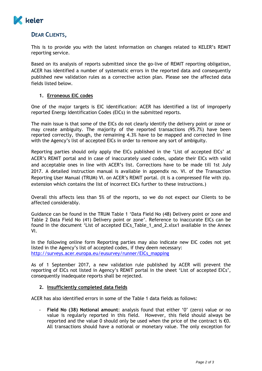

## **DEAR CLIENTS,**

This is to provide you with the latest information on changes related to KELER's REMIT reporting service.

Based on its analysis of reports submitted since the go-live of REMIT reporting obligation, ACER has identified a number of systematic errors in the reported data and consequently published new validation rules as a corrective action plan. Please see the affected data fields listed below.

## **1. Erroneous EIC codes**

One of the major targets is EIC identification: ACER has identified a list of improperly reported Energy Identification Codes (EICs) in the submitted reports.

The main issue is that some of the EICs do not clearly identify the delivery point or zone or may create ambiguity. The majority of the reported transactions (95.7%) have been reported correctly, though, the remaining 4.3% have to be mapped and corrected in line with the Agency's list of accepted EICs in order to remove any sort of ambiguity.

Reporting parties should only apply the EICs published in the 'List of accepted EICs' at ACER's REMIT portal and in case of inaccurately used codes, update their EICs with valid and acceptable ones in line with ACER's list. Corrections have to be made till 1st July 2017. A detailed instruction manual is available in appendix no. VI. of the Transaction Reporting User Manual (TRUM) VI. on ACER's REMIT portal. (It is a compressed file with zip. extension which contains the list of incorrect EICs further to these instructions.)

Overall this affects less than 5% of the reports, so we do not expect our Clients to be affected considerably.

Guidance can be found in the TRUM Table 1 'Data Field No (48) Delivery point or zone and Table 2 Data Field No (41) Delivery point or zone'. Reference to inaccurate EICs can be found in the document 'List of accepted EICs\_Table\_1\_and\_2.xlsx1 available in the Annex VI.

In the following online form Reporting parties may also indicate new EIC codes not yet listed in the Agency's list of accepted codes, if they deem necessary: [http://surveys.acer.europa.eu/eusurvey/runner/EICs\\_mapping](http://surveys.acer.europa.eu/eusurvey/runner/EICs_mapping)

As of 1 September 2017, a new validation rule published by ACER will prevent the reporting of EICs not listed in Agency's REMIT portal in the sheet 'List of accepted EICs', consequently inadequate reports shall be rejected.

## **2. Insufficiently completed data fields**

ACER has also identified errors in some of the Table 1 data fields as follows:

- **Field No (38) Notional amount**: analysis found that either '0' (zero) value or no value is regularly reported in this field. However, this field should always be reported and the value 0 should only be used when the price of the contract is  $\epsilon$ 0. All transactions should have a notional or monetary value. The only exception for